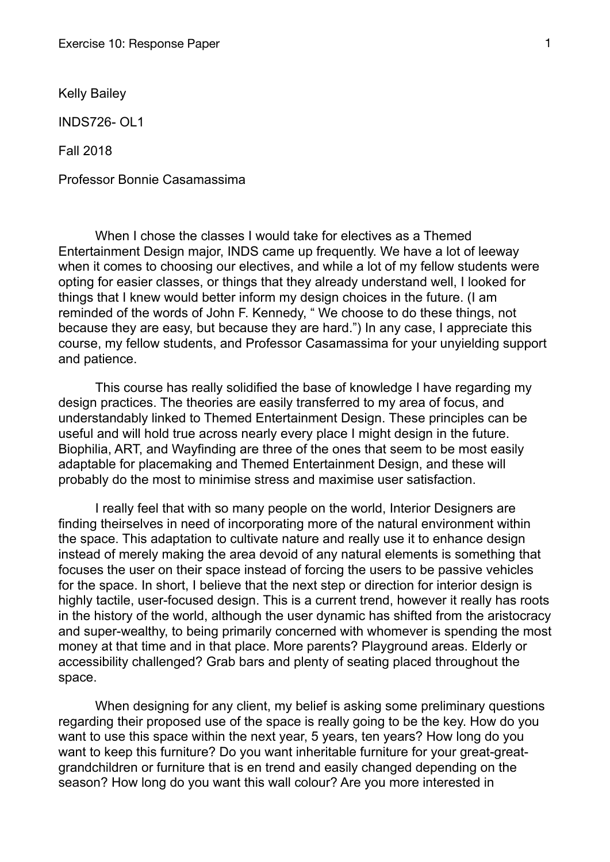Kelly Bailey

INDS726- OL1

Fall 2018

Professor Bonnie Casamassima

 When I chose the classes I would take for electives as a Themed Entertainment Design major, INDS came up frequently. We have a lot of leeway when it comes to choosing our electives, and while a lot of my fellow students were opting for easier classes, or things that they already understand well, I looked for things that I knew would better inform my design choices in the future. (I am reminded of the words of John F. Kennedy, " We choose to do these things, not because they are easy, but because they are hard.") In any case, I appreciate this course, my fellow students, and Professor Casamassima for your unyielding support and patience.

 This course has really solidified the base of knowledge I have regarding my design practices. The theories are easily transferred to my area of focus, and understandably linked to Themed Entertainment Design. These principles can be useful and will hold true across nearly every place I might design in the future. Biophilia, ART, and Wayfinding are three of the ones that seem to be most easily adaptable for placemaking and Themed Entertainment Design, and these will probably do the most to minimise stress and maximise user satisfaction.

 I really feel that with so many people on the world, Interior Designers are finding theirselves in need of incorporating more of the natural environment within the space. This adaptation to cultivate nature and really use it to enhance design instead of merely making the area devoid of any natural elements is something that focuses the user on their space instead of forcing the users to be passive vehicles for the space. In short, I believe that the next step or direction for interior design is highly tactile, user-focused design. This is a current trend, however it really has roots in the history of the world, although the user dynamic has shifted from the aristocracy and super-wealthy, to being primarily concerned with whomever is spending the most money at that time and in that place. More parents? Playground areas. Elderly or accessibility challenged? Grab bars and plenty of seating placed throughout the space.

 When designing for any client, my belief is asking some preliminary questions regarding their proposed use of the space is really going to be the key. How do you want to use this space within the next year, 5 years, ten years? How long do you want to keep this furniture? Do you want inheritable furniture for your great-greatgrandchildren or furniture that is en trend and easily changed depending on the season? How long do you want this wall colour? Are you more interested in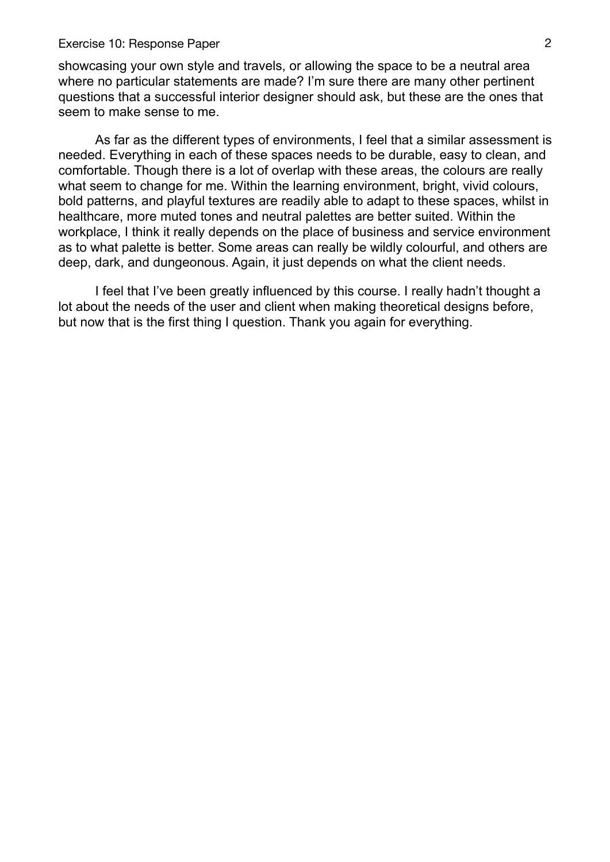## Exercise 10: Response Paper 2

showcasing your own style and travels, or allowing the space to be a neutral area where no particular statements are made? I'm sure there are many other pertinent questions that a successful interior designer should ask, but these are the ones that seem to make sense to me.

 As far as the different types of environments, I feel that a similar assessment is needed. Everything in each of these spaces needs to be durable, easy to clean, and comfortable. Though there is a lot of overlap with these areas, the colours are really what seem to change for me. Within the learning environment, bright, vivid colours, bold patterns, and playful textures are readily able to adapt to these spaces, whilst in healthcare, more muted tones and neutral palettes are better suited. Within the workplace, I think it really depends on the place of business and service environment as to what palette is better. Some areas can really be wildly colourful, and others are deep, dark, and dungeonous. Again, it just depends on what the client needs.

 I feel that I've been greatly influenced by this course. I really hadn't thought a lot about the needs of the user and client when making theoretical designs before, but now that is the first thing I question. Thank you again for everything.